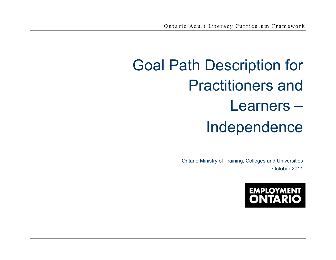# Goal Path Description for Practitioners and Learners – Independence

Ontario Ministry of Training, Colleges and Universities October 2011

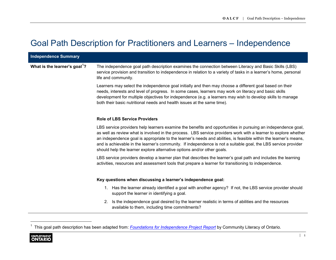## Goal Path Description for Practitioners and Learners – Independence

| <b>Independence Summary</b>               |                                                                                                                                                                                                                                                                                                                                                                                                                                                                                                                                                   |
|-------------------------------------------|---------------------------------------------------------------------------------------------------------------------------------------------------------------------------------------------------------------------------------------------------------------------------------------------------------------------------------------------------------------------------------------------------------------------------------------------------------------------------------------------------------------------------------------------------|
| What is the learner's goal <sup>1</sup> ? | The independence goal path description examines the connection between Literacy and Basic Skills (LBS)<br>service provision and transition to independence in relation to a variety of tasks in a learner's home, personal<br>life and community.                                                                                                                                                                                                                                                                                                 |
|                                           | Learners may select the independence goal initially and then may choose a different goal based on their<br>needs, interests and level of progress. In some cases, learners may work on literacy and basic skills<br>development for multiple objectives for independence (e.g. a learners may wish to develop skills to manage<br>both their basic nutritional needs and health issues at the same time).                                                                                                                                         |
|                                           | <b>Role of LBS Service Providers</b>                                                                                                                                                                                                                                                                                                                                                                                                                                                                                                              |
|                                           | LBS service providers help learners examine the benefits and opportunities in pursuing an independence goal,<br>as well as review what is involved in the process. LBS service providers work with a learner to explore whether<br>an independence goal is appropriate to the learner's needs and abilities, is feasible within the learner's means,<br>and is achievable in the learner's community. If independence is not a suitable goal, the LBS service provider<br>should help the learner explore alternative options and/or other goals. |
|                                           | LBS service providers develop a learner plan that describes the learner's goal path and includes the learning<br>activities, resources and assessment tools that prepare a learner for transitioning to independence.                                                                                                                                                                                                                                                                                                                             |
|                                           | Key questions when discussing a learner's independence goal:                                                                                                                                                                                                                                                                                                                                                                                                                                                                                      |
|                                           | Has the learner already identified a goal with another agency? If not, the LBS service provider should<br>1.<br>support the learner in identifying a goal.                                                                                                                                                                                                                                                                                                                                                                                        |
|                                           | Is the independence goal desired by the learner realistic in terms of abilities and the resources<br>2.<br>available to them, including time commitments?                                                                                                                                                                                                                                                                                                                                                                                         |
|                                           |                                                                                                                                                                                                                                                                                                                                                                                                                                                                                                                                                   |
|                                           | This goal path description has been adapted from: Foundations for Independence Project Report by Community Literacy of Ontario.                                                                                                                                                                                                                                                                                                                                                                                                                   |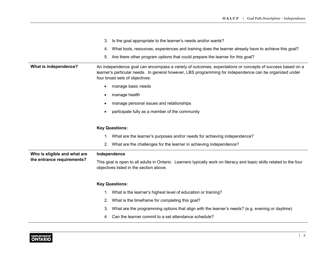|                              | Is the goal appropriate to the learner's needs and/or wants?<br>3.                                                                                                                                                                                    |
|------------------------------|-------------------------------------------------------------------------------------------------------------------------------------------------------------------------------------------------------------------------------------------------------|
|                              | What tools, resources, experiences and training does the learner already have to achieve this goal?<br>4.                                                                                                                                             |
|                              | Are there other program options that could prepare the learner for this goal?<br>5.                                                                                                                                                                   |
| What is independence?        | An independence goal can encompass a variety of outcomes, expectations or concepts of success based on a<br>learner's particular needs. In general however, LBS programming for independence can be organized under<br>four broad sets of objectives: |
|                              | manage basic needs<br>$\bullet$                                                                                                                                                                                                                       |
|                              | manage health<br>$\bullet$                                                                                                                                                                                                                            |
|                              | manage personal issues and relationships<br>$\bullet$                                                                                                                                                                                                 |
|                              | participate fully as a member of the community<br>$\bullet$                                                                                                                                                                                           |
|                              | <b>Key Questions:</b>                                                                                                                                                                                                                                 |
|                              | What are the learner's purposes and/or needs for achieving independence?<br>1.                                                                                                                                                                        |
|                              | What are the challenges for the learner in achieving independence?<br>2.                                                                                                                                                                              |
| Who is eligible and what are | Independence                                                                                                                                                                                                                                          |
| the entrance requirements?   | This goal is open to all adults in Ontario. Learners typically work on literacy and basic skills related to the four<br>objectives listed in the section above.                                                                                       |
|                              | <b>Key Questions:</b>                                                                                                                                                                                                                                 |
|                              | What is the learner's highest level of education or training?<br>1.                                                                                                                                                                                   |
|                              | What is the timeframe for completing this goal?<br>2.                                                                                                                                                                                                 |
|                              | What are the programming options that align with the learner's needs? (e.g. evening or daytime)<br>3.                                                                                                                                                 |
|                              | Can the learner commit to a set attendance schedule?<br>4.                                                                                                                                                                                            |

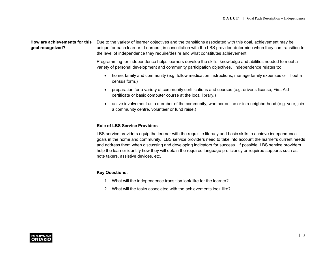| How are achievements for this<br>goal recognized? | Due to the variety of learner objectives and the transitions associated with this goal, achievement may be<br>unique for each learner. Learners, in consultation with the LBS provider, determine when they can transition to<br>the level of independence they require/desire and what constitutes achievement. |
|---------------------------------------------------|------------------------------------------------------------------------------------------------------------------------------------------------------------------------------------------------------------------------------------------------------------------------------------------------------------------|
|                                                   | Programming for independence helps learners develop the skills, knowledge and abilities needed to meet a<br>variety of personal development and community participation objectives. Independence relates to:                                                                                                     |

- home, family and community (e.g. follow medication instructions, manage family expenses or fill out a census form.)
- preparation for a variety of community certifications and courses (e.g. driver's license, First Aid certificate or basic computer course at the local library.)
- active involvement as a member of the community, whether online or in a neighborhood (e.g. vote, join a community centre, volunteer or fund raise.)

#### **Role of LBS Service Providers**

LBS service providers equip the learner with the requisite literacy and basic skills to achieve independence goals in the home and community. LBS service providers need to take into account the learner's current needs and address them when discussing and developing indicators for success. If possible, LBS service providers help the learner identify how they will obtain the required language proficiency or required supports such as note takers, assistive devices, etc.

#### **Key Questions:**

- 1. What will the independence transition look like for the learner?
- 2. What will the tasks associated with the achievements look like?

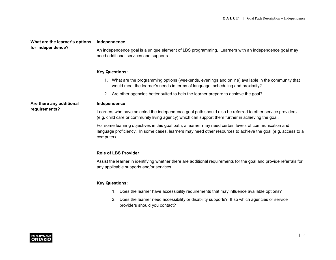| What are the learner's options<br>for independence? | Independence                                                                                                                                                                                                                         |
|-----------------------------------------------------|--------------------------------------------------------------------------------------------------------------------------------------------------------------------------------------------------------------------------------------|
|                                                     | An independence goal is a unique element of LBS programming. Learners with an independence goal may<br>need additional services and supports.                                                                                        |
|                                                     | <b>Key Questions:</b>                                                                                                                                                                                                                |
|                                                     | 1. What are the programming options (weekends, evenings and online) available in the community that<br>would meet the learner's needs in terms of language, scheduling and proximity?                                                |
|                                                     | 2. Are other agencies better suited to help the learner prepare to achieve the goal?                                                                                                                                                 |
| Are there any additional                            | Independence                                                                                                                                                                                                                         |
| requirements?                                       | Learners who have selected the independence goal path should also be referred to other service providers<br>(e.g. child care or community living agency) which can support them further in achieving the goal.                       |
|                                                     | For some learning objectives in this goal path, a learner may need certain levels of communication and<br>language proficiency. In some cases, learners may need other resources to achieve the goal (e.g. access to a<br>computer). |
|                                                     | <b>Role of LBS Provider</b>                                                                                                                                                                                                          |
|                                                     | Assist the learner in identifying whether there are additional requirements for the goal and provide referrals for<br>any applicable supports and/or services.                                                                       |
|                                                     | <b>Key Questions:</b>                                                                                                                                                                                                                |
|                                                     | Does the learner have accessibility requirements that may influence available options?<br>1.                                                                                                                                         |
|                                                     | Does the learner need accessibility or disability supports? If so which agencies or service<br>2.<br>providers should you contact?                                                                                                   |
|                                                     |                                                                                                                                                                                                                                      |

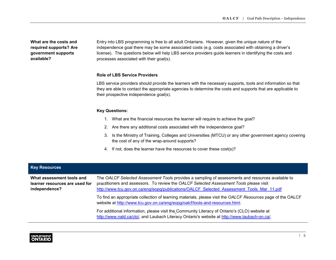**What are the costs and required supports? Are government supports available?**

Entry into LBS programming is free to all adult Ontarians. However, given the unique nature of the independence goal there may be some associated costs (e.g. costs associated with obtaining a driver's license). The questions below will help LBS service providers guide learners in identifying the costs and processes associated with their goal(s).

#### **Role of LBS Service Providers**

LBS service providers should provide the learners with the necessary supports, tools and information so that they are able to contact the appropriate agencies to determine the costs and supports that are applicable to their prospective independence goal(s).

#### **Key Questions:**

- 1. What are the financial resources the learner will require to achieve the goal?
- 2. Are there any additional costs associated with the independence goal?
- 3. Is the Ministry of Training, Colleges and Universities (MTCU) or any other government agency covering the cost of any of the wrap-around supports?
- 4. If not, does the learner have the resources to cover these cost(s)?

| <b>Key Resources</b>                                                         |                                                                                                                                                                                                                                                                                           |
|------------------------------------------------------------------------------|-------------------------------------------------------------------------------------------------------------------------------------------------------------------------------------------------------------------------------------------------------------------------------------------|
| What assessment tools and<br>learner resources are used for<br>independence? | The OALCF Selected Assessment Tools provides a sampling of assessments and resources available to<br>practitioners and assessors. To review the OALCF Selected Assessment Tools please visit<br>http://www.tcu.gov.on.ca/eng/eopg/publications/OALCF Selected Assessment Tools Mar 11.pdf |
|                                                                              | To find an appropriate collection of learning materials, please visit the OALCF Resources page of the OALCF<br>website at http://www.tcu.gov.on.ca/eng/eopg/oalcf/tools-and-resources.html.                                                                                               |
|                                                                              | For additional information, please visit the Community Literacy of Ontario's (CLO) website at<br>http://www.nald.ca/clo/, and Laubach Literacy Ontario's website at http://www.laubach-on.ca/.                                                                                            |

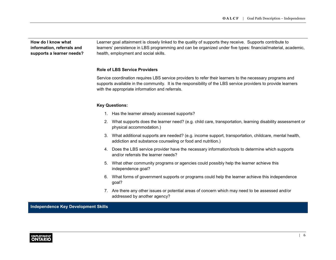**How do I know what information, referrals and supports a learner needs?** 

Learner goal attainment is closely linked to the quality of supports they receive. Supports contribute to learners' persistence in LBS programming and can be organized under five types: financial/material, academic, health, employment and social skills.

#### **Role of LBS Service Providers**

Service coordination requires LBS service providers to refer their learners to the necessary programs and supports available in the community. It is the responsibility of the LBS service providers to provide learners with the appropriate information and referrals.

#### **Key Questions:**

- 1. Has the learner already accessed supports?
- 2. What supports does the learner need? (e.g. child care, transportation, learning disability assessment or physical accommodation.)
- 3. What additional supports are needed? (e.g. income support, transportation, childcare, mental health, addiction and substance counseling or food and nutrition.)
- 4. Does the LBS service provider have the necessary information/tools to determine which supports and/or referrals the learner needs?
- 5. What other community programs or agencies could possibly help the learner achieve this independence goal?
- 6. What forms of government supports or programs could help the learner achieve this independence goal?
- 7. Are there any other issues or potential areas of concern which may need to be assessed and/or addressed by another agency?

**Independence Key Development Skills**

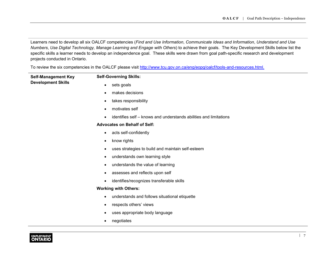Learners need to develop all six OALCF competencies (*Find and Use Information*, *Communicate Ideas and Information*, *Understand and Use Numbers*, *Use Digital Technology, Manage Learning and Engage with Others*) to achieve their goals. The Key Development Skills below list the specific skills a learner needs to develop an independence goal. These skills were drawn from goal path-specific research and development projects conducted in Ontario.

To review the six competencies in the OALCF please visit [http://www.tcu.gov.on.ca/eng/eopg/oalcf/tools-and-resources.html.](http://www.tcu.gov.on.ca/eng/eopg/oalcf/tools-and-resources.html)

| <b>Self-Management Key</b><br><b>Development Skills</b> | <b>Self-Governing Skills:</b>                                                  |
|---------------------------------------------------------|--------------------------------------------------------------------------------|
|                                                         | sets goals<br>$\bullet$                                                        |
|                                                         | makes decisions<br>$\bullet$                                                   |
|                                                         | takes responsibility<br>$\bullet$                                              |
|                                                         | motivates self<br>$\bullet$                                                    |
|                                                         | identifies self – knows and understands abilities and limitations<br>$\bullet$ |
|                                                         | <b>Advocates on Behalf of Self:</b>                                            |
|                                                         | acts self-confidently<br>$\bullet$                                             |
|                                                         | know rights<br>$\bullet$                                                       |
|                                                         | uses strategies to build and maintain self-esteem<br>$\bullet$                 |
|                                                         | understands own learning style<br>$\bullet$                                    |
|                                                         | understands the value of learning<br>$\bullet$                                 |
|                                                         | assesses and reflects upon self<br>$\bullet$                                   |
|                                                         | identifies/recognizes transferable skills<br>$\bullet$                         |
|                                                         | <b>Working with Others:</b>                                                    |
|                                                         | understands and follows situational etiquette<br>$\bullet$                     |
|                                                         | respects others' views<br>$\bullet$                                            |
|                                                         | uses appropriate body language<br>$\bullet$                                    |
|                                                         | negotiates<br>$\bullet$                                                        |

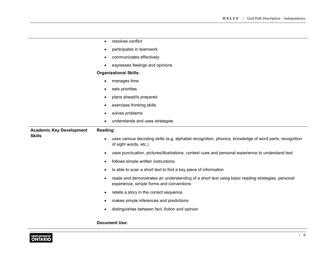|                                 | resolves conflict<br>$\bullet$                                                                                                                    |
|---------------------------------|---------------------------------------------------------------------------------------------------------------------------------------------------|
|                                 | participates in teamwork<br>$\bullet$                                                                                                             |
|                                 | communicates effectively<br>٠                                                                                                                     |
|                                 | expresses feelings and opinions<br>$\bullet$                                                                                                      |
|                                 | <b>Organizational Skills:</b>                                                                                                                     |
|                                 | manages time<br>$\bullet$                                                                                                                         |
|                                 | sets priorities<br>$\bullet$                                                                                                                      |
|                                 | plans ahead/is prepared<br>$\bullet$                                                                                                              |
|                                 | exercises thinking skills<br>$\bullet$                                                                                                            |
|                                 | solves problems<br>$\bullet$                                                                                                                      |
|                                 | understands and uses strategies<br>$\bullet$                                                                                                      |
| <b>Academic Key Development</b> | Reading:                                                                                                                                          |
| <b>Skills</b>                   | uses various decoding skills (e.g. alphabet recognition, phonics, knowledge of word parts, recognition<br>of sight words, etc.)                   |
|                                 | uses punctuation, pictures/illustrations, context cues and personal experience to understand text<br>$\bullet$                                    |
|                                 | follows simple written instructions<br>$\bullet$                                                                                                  |
|                                 | Is able to scan a short text to find a key piece of information<br>$\bullet$                                                                      |
|                                 | reads and demonstrates an understanding of a short text using basic reading strategies, personal<br>٠<br>experience, simple forms and conventions |
|                                 | retells a story in the correct sequence<br>$\bullet$                                                                                              |
|                                 | makes simple inferences and predictions<br>$\bullet$                                                                                              |
|                                 | distinguishes between fact, fiction and opinion<br>$\bullet$                                                                                      |
|                                 |                                                                                                                                                   |
|                                 | <b>Document Use:</b>                                                                                                                              |

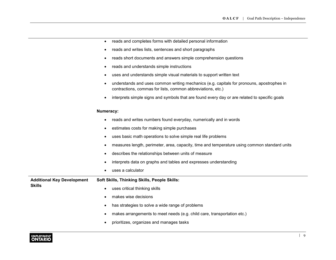- reads and completes forms with detailed personal information
- reads and writes lists, sentences and short paragraphs
- reads short documents and answers simple comprehension questions
- reads and understands simple instructions
- uses and understands simple visual materials to support written text
- understands and uses common writing mechanics (e.g. capitals for pronouns, apostrophes in contractions, commas for lists, common abbreviations, etc.)
- interprets simple signs and symbols that are found every day or are related to specific goals

#### **Numeracy:**

|                                                    | reads and writes numbers found everyday, numerically and in words<br>$\bullet$                            |
|----------------------------------------------------|-----------------------------------------------------------------------------------------------------------|
|                                                    | estimates costs for making simple purchases<br>$\bullet$                                                  |
|                                                    | uses basic math operations to solve simple real life problems<br>$\bullet$                                |
|                                                    | measures length, perimeter, area, capacity, time and temperature using common standard units<br>$\bullet$ |
|                                                    | describes the relationships between units of measure<br>$\bullet$                                         |
|                                                    | interprets data on graphs and tables and expresses understanding<br>$\bullet$                             |
|                                                    | uses a calculator<br>$\bullet$                                                                            |
| <b>Additional Key Development</b><br><b>Skills</b> | Soft Skills, Thinking Skills, People Skills:                                                              |
|                                                    | uses critical thinking skills<br>$\bullet$                                                                |
|                                                    | makes wise decisions<br>$\bullet$                                                                         |
|                                                    | has strategies to solve a wide range of problems<br>$\bullet$                                             |
|                                                    | makes arrangements to meet needs (e.g. child care, transportation etc.)<br>$\bullet$                      |
|                                                    | prioritizes, organizes and manages tasks<br>$\bullet$                                                     |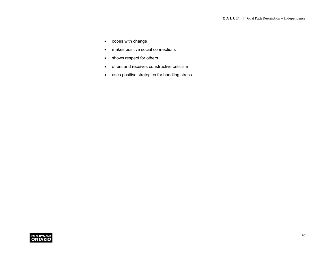- copes with change
- makes positive social connections
- shows respect for others
- offers and receives constructive criticism
- uses positive strategies for handling stress